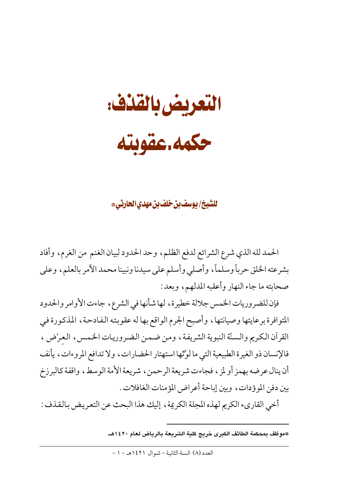التعريض بالقذف:

حكمه عقوبته

للشيخ/ يوسف بن خلف بن مهدى الحارثي\*

الحمد لله الذي شرع الشرائع لدفع الظلم، وحد الحدود لبيان الغنم من الغرم، وأفاد بشرعته الخلق حرباً وسلماً، وأصلى وأسلم على سيدنا ونبينا محمد الأمر بالعلم، وعلى صحابته ما جاء النهار وأعقبه المدلهم، وبعد:

فإن للضروريات الخمس جلالة خطيرة، لها شأنها في الشرع، جاءت الأوامر والحدود المتوافرة برعايتها وصيانتها، وأصبح الجرم الواقع بها له عقوبته الفادحة، المذكورة في القرآن الكريم والسنَّة النبوية الشريفة ، ومن ضمن الضروريات الخمس ، العرْض ، فالإنسان ذو الغيرة الطبيعية التي ما لوَّتْها استهتار الحضارات، ولا تدافع المروءات، يأنف أن ينال عرضه بهمز أو لمز ، فجاءت شريعة الرحمن ، شريعة الأمة الوسط ، واقفة كالبرزخ بين دفن الموؤدات، وبين إباحة أعراض المؤمنات الغافلات .

أخى القارىء الكريم لهذه المجلة الكريمة ، إليك هذا البحث عن التعريض بالقذف :

<sup>\*</sup>موظف بمحكمة الطائف الكبرى خريج كلية الشريعة بالرياض لعام ١٤٢٠هــ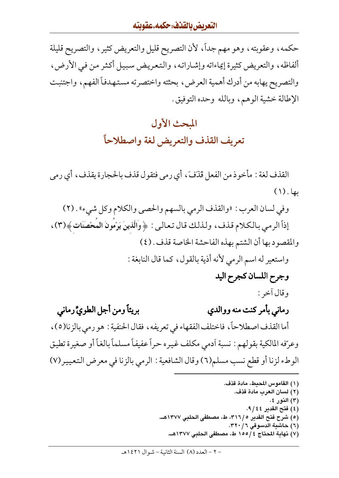#### التعريض بالقذف، حكمه.عقوبته

حكمه، وعقوبته، وهو مهم جداً، لأن التصريح قليل والتعريض كثير، والتصريح قليلة ألفاظه، والتعريض كثيرة إيماءاته وإشاراته، والتعريض سبيل أكثر من في الأرض، والتصريح يهابه من أدرك أهمية العرض، بحثته واختصرته مستهدفاً الفهم، واجتنبت الإطالة خشية الوهم، وبالله وحده التوفيق.

# المحث الأول تعريف القذف والتعريض لغة واصطلاحاً

القذف لغة : مأخوذ من الفعل قذفَ، أي رمي فتقول قذف بالحجارة يقذف، أي رمي بها. (١)

وفي لسان العرب: «والقذف الرمي بالسهم والحصي والكلام وكل شيء» . (٢) إذاً الرمي بالكلام قذف، ولذلك قال تعالى: ﴿وَالَّذِينَ يَرْمُونَ الْمُحْصَنَاتِ﴾(٣)، والمقصود بها أن الشتم بهذه الفاحشة الخاصة قذف . (٤) واستعير له اسم الرمي لأنه أذية بالقول، كما قال النابغة :

وجرح اللسان كجرح اليد

وقال أخر :

- بريئاً ومن أجل الطويٍّ رماني رماني بأمر كنت منه ووالدى أما القذف اصطلاحاً، فاختلف الفقهاء في تعريفه ، فقال الحنفية : هو رمي بالزنا(٥) ، وعرّفه المالكية بقولهم : نسبة أدمى مكلف غيره حراً عفيفاً مسلماً بالغاً أو صغيرة تطيق الوطء لزنا أو قطع نسب مسلم(٦) وقال الشافعية : الرمي بالزنا في معرض التعيير(٧)
	- (١) القاموس المحيط، مادة قذف. (٢) لسان العرب مادة قذف. (٣) النور ٤. (٤) فتح القدير ٤٤/ ٩.
	- (٥) شرح فتح القدير ٣١٦/٥، ط، مصطفى الحلبي ١٣٧٧هــ.
		- (٦) حاشية الدسوقي ٣٦٠/٦.
		- (٧) نهاية المحتاج ١٥٥/٤ ط، مصطفى الحلبي ١٣٧٧هـ.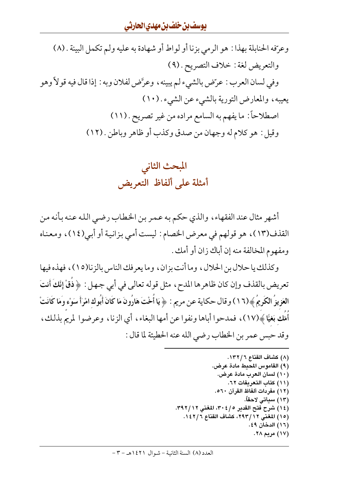وعرّفه الحنابلة بهذا : هو الرمي بزنا أو لواط أو شهادة به عليه ولم تكمل البينة . (٨) والتعريض لغة : خلاف التصريح . (٩) وفي لسان العرب : عرّض بالشيء لم يبينه ، وعرَّض لفلان وبه : إذا قال فيه قولاً وهو يعيبه، والمعارض التورية بالشيء عن الشيء . (١٠) اصطلاحاً: ما يفهم به السامع مراده من غير تصريح . (١١) وقيل : هو كلام له وجهان من صدق وكذب أو ظاهر وباطن . (١٢)

> المبحث الثاني أمثلة على ألفاظ التعريض

أشهر مثال عند الفقهاء، والذي حكم به عمر بن الخطاب رضيي الله عنه بأنه من القذف(١٣)، هو قولهم في معرض الخصام: ليست أمي بزانية أو أبي(١٤)، ومعناه ومفهوم المخالفة منه إن أباك زان أو أمك .

وكذلك يا حلال بن الحلال، وما أنت بزان، وما يعرفك الناس بالزنا(١٥)، فهذه فيها تعريض بالقذف وإن كان ظاهرها المدح ، مثل قوله تعالى في أبي جهل : ﴿ ذَقْ إِنَّكَ أَنتَ العَزِيزُ الكَرِيمُ ﴾(١٦) وقال حكاية عن مريم : ﴿ يَا أَخْتَ هَارُونَ مَا كَانَ أَبُوك امْرَأَ سَوْء وَمَا كَانَتْ أَمَّك بَغيًّا ﴾(١٧)، فمدحوا أباها ونفوا عن أمها البغاء، أي الزنا، وعرضوا لمريم بذلك، وقد حبس عمر بن الخطاب رضي الله عنه الحطيئة لما قال :

> (٨) كشاف القناع ١٣٢/٦. (٩) القاموس المحيط مادة عرض. (١٠) لسان العرب مادة عرض. (١١) كتاب التعريفات ٦٢. (١٢) مفردات ألفاظ القرآن ٢٠٥. (١٣) سبأتي لاحقاً. (١٤) شرح فتح القدير ٢٠٤/٥. المغنى ٢٩٢/١٢. (١٥) المغنى ١٢/ ٢٩٣، كشاف القناع ١٤٢/٦. (١٦) الدخان ٤٩. (١٧) مربم ٢٨.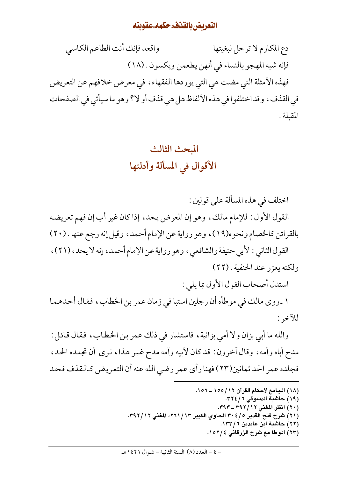#### التعريض بالقذف، حكمه.عقوبته

واقعد فإنك أنت الطاعم الكاسي دع المكارم لا ترحل لبغيتها فإنه شبه المهجو بالنساء في أنهن يطعمن ويكسون . (١٨) فهذه الأمثلة التي مضت هي التي يوردها الفقهاء ، في معرض خلافهم عن التعريض في القذف، وقد اختلفوا في هذه الألفاظ هل هي قذف أو لا؟ وهو ما سيأتي في الصفحات المقبلة .

# المحث الثالث الأقوال في المسألة وأدلتها

اختلف في هذه المسألة على قولين : القول الأول : للإمام مالك، وهو إن المعرض يحد، إذا كان غير أب إن فهم تعريضه بالقرائن كالخصام ونحوه(١٩)، وهو رواية عن الإمام أحمد، وقيل إنه رجع عنها . (٢٠) القول الثاني : لأبي حنيفة والشافعي، وهو رواية عن الإمام أحمد، إنه لا يحد، (٢١)، ولكنه يعزر عند الحنفية . (٢٢)

استدل أصحاب القول الأول بما يلي :

١ ـ روى مالك في موطأه أن رجلين استبا في زمان عمر بن الخطاب، فقال أحدهما للآخر :

والله ما أبي بزان ولا أمي بزانية ، فاستشار في ذلك عمر بن الخطاب ، فقال قائل : مدح أباه وأمه، وقال أخرون: قد كان لأبيه وأمه مدح غير هذا، نرى أن تجلده الحد، فجلده عمر الحد ثمانين(٢٣) فهنا رأى عمر رضي الله عنه أن التعريض كالقذف فحد

- (١٨) الجامع لأحكام القرآن ١٢/١٥٥ ـ ١٥٦.
	- (١٩) حاشية الدسوقي ٣٢٤/٦.
	- (٢٠) انظر المغنى ٢٩٢/١٢ ـ ٣٩٣.
- (٢١) شرح فتح القدير ٢٠٤/٥ الحاوي الكبير ٢٦١/١٣، المغنى ٣٩٢/١٢.
	- (٢٢) حاشية ابن عابدين ١٣٣/٦.
	- (٢٣) الموطأ مع شرح الزرقاني ٤ /١٥٢.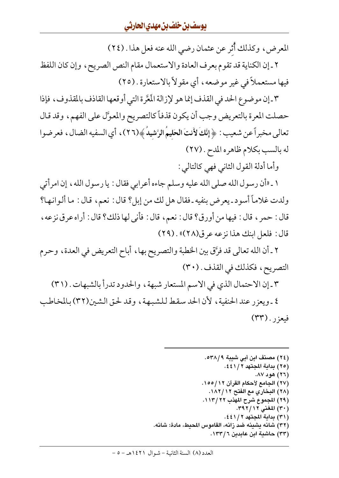المعرض، وكذلك أُثر عن عثمان رضي الله عنه فعل هذا . (٢٤)

٢ ـ إن الكناية قد تقوم بعرف العادة والاستعمال مقام النص الصريح، وإن كان اللفظ فيها مستعملاً في غير موضعه، أي مقولاً بالاستعارة . (٢٥)

٣-إن موضوع الحد في القذف إنما هو لإزالة المَعَّرة التي أوقعها القاذف بالمقذوف، فإذا حصلت المعرة بالتعريض وجب أن يكون قذفاً كالتصريح والمعوَّل على الفهم، وقد قال تعالى مخبراً عن شعيب : ﴿ إِنَّكَ لأَنتَ الْحَلِيمُ الرَّشِيدُ ﴾(٢٦)، أي السفيه الضال ، فعرضوا له بالسب بكلام ظاهره المدح . (٢٧)

وأما أدلة القول الثاني فهي كالتالي :

١ ـ «أن رسول الله صلى الله عليه وسلم جاءه أعرابي فقال : يا رسول الله ، إن امرأتي ولدت غلاماً أسود ـ يعرض بنفيه ـ فقال هل لك من إبل؟ قال : نعم، قال : ما ألـوانـها؟ قال : حمر ، قال : فيها من أورق؟ قال : نعم ، قال : فأنى لها ذلك؟ قال : أراه عرق نزعه ، قال: فلعل ابنك هذا نزعه عرق(٢٨)» . (٢٩)

٢ ـ أن الله تعالى قد فرَّق بين الخطبة والتصريح بها ، أباح التعريض في العدة ، وحرم التصريح، فكذلك في القذف. (٣٠)

٣ ـ إن الاحتمال الذي في الاسم المستعار شبهة ، والحدود تدرأ بالشبهات . (٣١) ٤ ـ ويعزر عند الحنفية، لأن الحد سقط للشبهة، وقد لحق الشين(٣٢) بالمخاطب فيعزر . (٣٣)

> (٢٤) مصنف ابن أبي شيبة ٥٣٨/٩. (٢٥) بداية المجتهد ٤٤١/٢. (٢٦) هود ٨٧. (٢٧) الجامع لأحكام القرآن ١٢/ ١٥٥. (٢٨) البخاري مع الفتح ١٨٢/١٨٢. (٢٩) المجموع شرح المهذب ٢٢/ ١١٣. (٣٠) المغنى ٢٩٢/١٢. (٣١) بداية المجتهد ٤٤١/٢. (٣٢) شانه يشينه ضد زانه، القاموس المحيط، مادة: شانه. (۳۳) حاشية ابن عابدين ١٣٣/٦.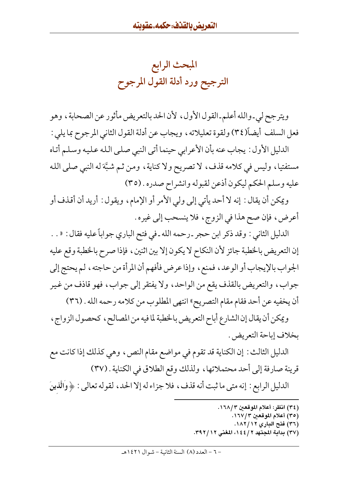المبحث الرابع الترجيح ورد أدلة القول المرجوح

ويترجح لي ـوالله أعلم ـالقول الأول ، لأن الحد بالتعريض مأثور عن الصحابة ، وهو فعل السلف أيضاً(٣٤) ولقوة تعليلاته، ويجاب عن أدلة القول الثاني المرجوح بما يلي : الدليل الأول : يجاب عنه بأن الأعرابي حينما أتى النبي صلى الله عليه وسلم أتاه مستفتيا، وليس في كلامه قذف، لا تصريح ولا كناية، ومن ثم شبَّة له النبي صلى الله عليه وسلم الحكم ليكون أذعن لقبوله وانشراح صدره . (٣٥)

ويمكن أن يقال : إنه لا أحد يأتي إلى ولي الأمر أو الإمام، ويقول : أريد أن أقذف أو أعرض، فإن صح هذا في الزوج، فلا ينسحب إلى غيره.

الدليل الثاني : وقد ذكر ابن حجر ـ رحمه الله ـ في فتح الباري جواباً عليه فقال : « . . إن التعريض بالخطبة جائز لأن النكاح لا يكون إلا بين اثنين، فإذا صرح بالخطبة وقع عليه الجواب بالإيجاب أو الوعد، فمنع، وإذا عرض فأفهم أن المرأة من حاجته، لم يحتج إلى جواب، والتعريض بالقذف يقع من الواحد، ولا يفتقر إلى جواب، فهو قاذف من غير أن يخفيه عن أحد فقام مقام التصريح» انتهى المطلوب من كلامه رحمه الله . (٣٦)

ويمكن أن يقال إن الشارع أباح التعريض بالخطبة لما فيه من المصالح، كحصول الزواج، بخلاف إباحة التعريض .

الدليل الثالث : إن الكناية قد تقوم في مواضع مقام النص ، وهي كذلك إذا كانت مع قرينة صارفة إلى أحد محتملاتها، ولذلك وقع الطلاق في الكناية . (٣٧)

الدليل الرابع : إنه متى ما ثبت أنه قذف ، فلا جزاء له إلا الحد ، لقوله تعالى : ﴿ وَالَّذِينَ

- (٣٤) انظر: أعلام الموقعين ١٦٨/٣.
	- (٣٥) أعلام الموقعين ١٦٧/٣.
	- (٣٦) فتح الباري ١٨٢/١٨٢.
- (٣٧) بداية المجتهد ٢ / ١٤٤، المغنى ٢٩ / ٣٩٢.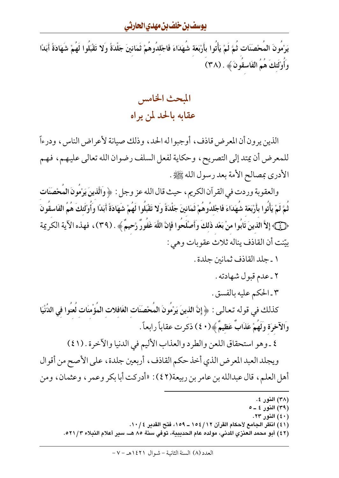يَرْمُونَ المُحْصَنَات ثُمَّ لَمْ يَأْتُوا بأَرْبَعَة شُهَدَاءَ فَاجْللدُوهُمْ ثَمَانينَ جَلْدَةً وَلا تَقْبَلُوا لَهُمْ شَهَادَةً أَبَدًا وَأَوْلَٰئِكَ هُمُ الْفَاسقونَ ﴾ . (٣٨)

> المبحث الخامس عقابه بالحد لمن يراه

الذين يرون أن المعرض قاذف، أوجبوا له الحد، وذلك صيانة لأعراض الناس، ودرءاً للمعرض أن يمتد إلى التصريح، وحكاية لفعل السلف رضوان الله تعالى عليهم، فهم الأدري بمصالح الأمة بعد رسول الله ﷺ.

والعقوبة وردت في القرآن الكريم ، حيث قال الله عز وجل : ﴿ وَالَّذِينَ يَرْمُونَ المُحْصَنَاتِ ثُمَّ لَمْ يَأْتُوا بأَرْبَعَة شُهَدَاءَ فَاجْلدُوهُمْ ثَمَانينَ جَلْدَةً وَلا تَقْبَلُوا لَهُمْ شَهَادَةً أَبَدًا وأُوْلَئكَ هُمُ الفَاسقُونَ ﴿ فَيَ ﴾ إِلاَّ الذينَ تَابُوا منْ بَعْد ذَلكَ وَأَصْلَحُوا فَإِنَّ اللَّهَ غَفُورٌ رَّحِيمٌ ﴾ . (٣٩) ، فهذه الآية الكر يمة بِيّنت أن القاذف يناله ثلاث عقوبات وهي :

١ ـ جلد القاذف ثمانين جلدة .

٢ ـ عدم قبول شهادته .

٣ ـ الحكم عليه بالفسق .

كذلك في قوله تعـالـى : ﴿ إِنَّ الذينَ يَرْمُونَ الْمُحْصَنَات الغَافلات الْمُؤْمنَات لُعنُوا في الدُّنْيَا وَالآخِرَةِ وَلَهُمْ عَذَابٌ عَظِيمٌ ﴾ (٤٠) ذكر ت عقاباً رابعاً .

٤ ـ وهو استحقاق اللعن والطرد والعذاب الأليم في الدنيا والآخرة . (٤١)

ويجلد العبد المعرض الذي أخذ حكم القاذف، أربعين جلدة، على الأصح من أقوال أهل العلم، قال عبدالله بن عامر بن ربيعة(٤٢): «أدركت أبا بكر وعمر ، وعثمان، ومن

- (٤٠) النور ٢٣.
- (٤١) انظر الجامع لأحكام القرآن ١٥٤/١٢ ـ ١٥٩، فتح القدير ١٠/٤.
- (٤٢) أبو محمد العنزي المدنى، مولده عام الحديبية، توفي سنة ٨٥ هــ، سير أعلام النبلاء ٥٢١/٣.

<sup>(</sup>٣٨) النور ٤.

<sup>(</sup>٣٩) النور ٤ ـ ٥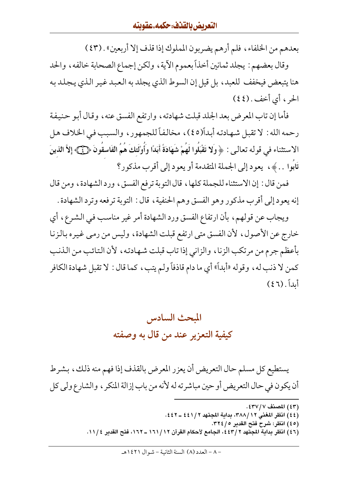بعدهم من الخلفاء، فلم أرهم يضربون المملوك إذا قذف إلا أربعين» . (٤٣)

وقال بعضهم : يجلد ثمانين أخذاً بعموم الآية، ولكن إجماع الصحابة خالفه، والحد هنا يتبعض فيخفف للعبد، بل قيل إن السوط الذي يجلد به العبد غير الذي يجلد به الحر ، أي أخف . (٤٤)

فأما إن تاب المعرض بعد الجلد قبلت شهادته ، وارتفع الفسق عنه ، وقال أبو حنيفة رحمه الله : لا تقبل شهادته أبداً(٤٥)، مخالفاً للجمهور، والسبب في الخلاف هل الاستثناء في قوله تعالىي : ﴿ وَلا تَقْبَلُوا لَهُمْ شَهَادَةً أَبَدًا وَأُوْلَئِكَ هُمُ الفَاسقُونَ ﴿ فَيَ إِلأَ الذينَ تَابُوا . . ﴾، يعود إلى الجملة المتقدمة أو يعود إلى أقرب مذكور؟

فمن قال : إن الاستثناء للجملة كلها ، قال التوبة ترفع الفسق ، ورد الشهادة ، ومن قال إنه يعود إلى أقرب مذكور وهو الفسق وهم الحنفية ، قال : التوبة ترفعه وترد الشهادة .

ويجاب عن قولهم، بأن ارتفاع الفسق ورد الشهادة أمر غير مناسب في الشرع، أي خارج عن الأصول، لأن الفسق متى ارتفع قبلت الشهادة، وليس من رمي غيره بالزنا بأعظم جرم من مرتكب الزنا، والزاني إذا تاب قبلت شهادته، لأن التائب من الذنب كمن لا ذنب له، وقوله «أبداً» أي ما دام قاذفاً ولم يتب، كما قال : لا تقبل شهادة الكافر أيداً. (٤٦)

# المبحث السادس كيفية التعزير عند من قال به وصفته

يستطيع كل مسلم حال التعريض أن يعزر المعرض بالقذف إذا فهم منه ذلك، بشرط أن يكون في حال التعريض أو حين مباشرته له لأنه من باب إزالة المنكر ، والشارع ولي كل

> (٤٣) المصنف ٤٣٧/٧: (٤٤) انظر المغنى ٣٨٨/١٢، بداية المجتهد ٢ / ٤٤١ ـ ٤٤٢. (٤٥) انظر: شرح فتح القدير ٢٢٤/٥. (٤٦) انظر بداية المجتهد ٢ /٤٤٣، الجامع لأحكام القرآن ١٦ / ١٦١ ــ ١٦٢، فتح القدير ١١ / ١٠.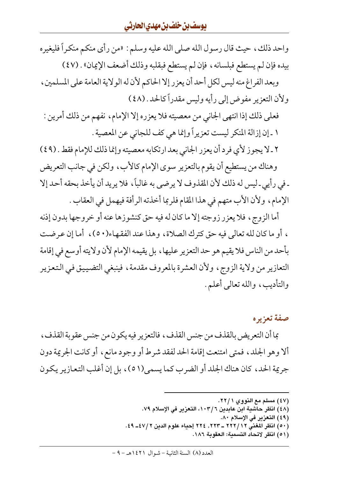واحد ذلك، حيث قال رسول الله صلى الله عليه وسلم : «من رأى منكم منكراً فليغيره بيده فإن لم يستطع فبلسانه ، فإن لم يستطع فبقلبه وذلك أضعف الإيمان» . (٤٧)

وبعد الفراغ منه ليس لكل أحد أن يعزر إلا الحاكم لأن له الولاية العامة على المسلمين ، ولأن التعزير مفوض إلى رأيه وليس مقدراً كالحد . (٤٨)

فعلى ذلك إذا انتهى الجاني من معصيته فلا يعزره إلا الإمام، نفهم من ذلك أمرين : ١ ـ إن إزالة المنكر ليست تعزيراً وإنما هي كف للجاني عن المعصية .

٢ ـ لا يجوز لأي فرد أن يعزر الجاني بعد ارتكابه معصيته وإنما ذلك للإمام فقط . (٤٩) وهناك من يستطيع أن يقوم بالتعزير سوى الإمام كالأب، ولكن في جانب التعريض ـ في رأيي ـ ليس له ذلك لأن المقذوف لا يرضى به غالباً، فلا يريد أن يأخذ بحقه أحد إلا الإمام، ولأن الأب متهم في هذا المقام فلربما أخذته الرأفة فيهمل في العقاب .

أما الزوج، فلا يعزر زوجته إلا ما كان له فيه حق كنشوزها عنه أو خروجها بدون إذنه ، أو ما كان لله تعالى فيه حق كترك الصلاة، وهذا عند الفقهاء(٥٠)، أما إن عرضت بأحد من الناس فلا يقيم هو حد التعزير عليها ، بل يقيمه الإمام لأن ولايته أوسع في إقامة التعازير من ولاية الزوج، ولأن العشرة بالمعروف مقدمة، فينبغي التضييق في التعزير والتأديب، والله تعالى أعلم.

### صفة تعزيره

بما أن التعريض بالقذف من جنس القذف ، فالتعزير فيه يكون من جنس عقوبة القذف ، ألا وهو الجلد، فمتى امتنعت إقامة الحد لفقد شرط أو وجود مانع، أو كانت الجريمة دون جرية الحد، كان هناك الجلد أو الضرب كما يسمى (٥١)، بل إن أغلب التعازير يكون

- (٤٨) انظر حاشية ابن عابدين ١٠٣/٦، التعزير في الإسلام ٧٩.
	- (٤٩) التعزير في الإسلام ٨٠.
- (٥٠) انظر المغنى ٢٢٢/ ٢٢٢ \_ ٢٢٣, ٢٢٤ إحياء علوم الدين ٢ /٤٧\_ ٤٩.
	- (٥١) انظر لاتحاد التسمية: العقوبة ١٨٦.

<sup>(</sup>٤٧) مسلم مع النووي ٢٢/١.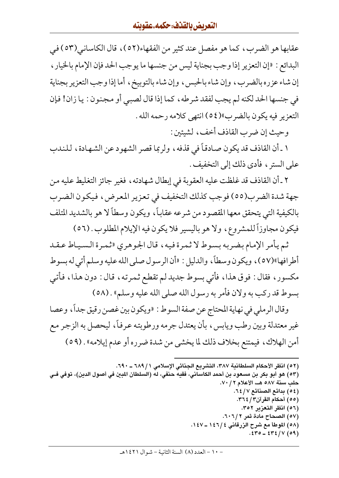عقابها هو الضرب، كما هو مفصل عند كثير من الفقهاء(٥٢)، قال الكاساني(٥٣) في البدائع : «إن التعزير إذا وجب بجناية ليس من جنسها ما يوجب الحد فإن الإمام بالخيار ، إن شاء عزره بالضرب، وإن شاء بالحبس، وإن شاء بالتوبيخ، أما إذا وجب التعزير بجناية في جنسها الحد لكنه لم يجب لفقد شرطه، كما إذا قال لصبي أو مجنون : يا زان! فإن التعزير فيه يكون بالضرب»(٥٤) انتهى كلامه رحمه الله .

وحيث إن ضرب القاذف أخف، لشيئين :

١ ـ أن القاذف قد يكون صادقاً في قذفه ، ولربما قصر الشهود عن الشهادة ، للندب على الستر ، فأدى ذلك إلى التخفيف .

٢ ـ أن القاذف قد غلظت عليه العقوبة في إبطال شهادته ، فغير جائز التغليط عليه من جهة شدة الضرب(٥٥) فو جب كذلك التخفيف في تعزير المعرض، فيكون الضرب بالكيفية التي يتحقق معها المقصود من شرعه عقاباً، ويكون وسطاً لا هو بالشديد المتلف فيكون مجاوزاً للمشروع، ولا هو باليسير فلا يكون فيه الإيلام المطلوب. (٥٦)

ثم يأمر الإمام بضربه بسوط لا ثمرة فيه، قال الجوهري «ثمرة السياط عقد أطرافها»(٥٧)، ويكون وسطاً، والدليل : «أن الرسول صلى الله عليه وسلم أتى له بسوط مكسور، فقال: فوق هذا، فأتى بسوط جديد لم تقطع ثمرته، قال: دون هذا، فأتبى بسوط قد ركب به ولان فأمر به رسول الله صلى الله عليه وسلم» . (٥٨)

وقال الرملي في نهاية المحتاج عن صفة السوط : «ويكون بين غصن رقيق جداً، وعصا غير معتدلة وبين رطب ويابس ، بأن يعتدل جرمه ورطوبته عرفاً ، ليحصل به الزجر مع أمن الهلاك، فيمتنع بخلاف ذلك لما يخشى من شدة ضرره أو عدم إيلامه» . (٥٩)

- (٥٧) الصحاح مادة ثمر ٦٠٦/٢.
- (٥٨) الموطأ مع شرح الزرقاني ١٤٦/٤ ـ ١٤٧.
	- $.570 572 / V(09)$

<sup>(</sup>٥٢) انظر الأحكام السلطانية ٣٨٧، التشريع الجنائي الإسلامي ١ / ٦٨٩ ـ ٦٩٠.

<sup>(</sup>٥٣) هو أبو بكر بن مسعود بن أحمد الكاساني، فقيه حنفي، له (السلطان المبين في أصول الدين)، توفي فـي حلب سنة ٥٨٧ هــ، الأعلام ٧٠/ ٧٠. (٥٤) بدائع الصنائع ٦٤/٧. (٥٥) أحكام القرآن٣/ ٣٦٤. (٥٦) انظر التعزير ٣٥٢.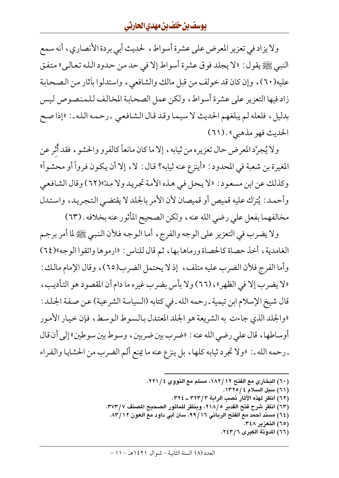ولا يزاد في تعزير المعرض على عشرة أسواط، لحديث أبي بردة الأنصاري، أنه سمع النبي ﷺ يقول : «لا يجلد فوق عشرة أسواط إلا في حد من حدود الله تعالى» متفق عليه(٦٠)، وإن كان قد خولف من قبل مالك والشافعي، واستدلوا بأثار من الصحابة زاد فيها التعزير على عشرة أسواط، ولكن عمل الصحابة المخالف للمنصوص ليس بدليل، فلعله لم يبلغهم الحديث لا سيما وقد قال الشافعي ـ رحمه الله ـ : «إذا صح الحديث فهو مذهبي» . (٦١)

ولا يُجرَّد المعرض حال تعزيره من ثيابه ، إلا ما كان مانعاً كالفرو والحشو ، فقد أُثر عن المغيرة بن شعبة في المحدود : «أينزع عنه ثيابه؟ قال : لا، إلا أن يكون فرواً أو محشواً» وكذلك عن ابن مسعود: «لا يحل في هذه الأمة تجريد ولا مدّ»(٦٢) وقال الشافعي وأحمد: يُترك عليه قميص أو قميصان لأن الأمر بالجلد لا يقتضي التجريد، واستدل مخالفهما بفعل علي رضي الله عنه ، ولكن الصحيح المأثور عنه بخلافه . (٦٣)

ولا يضرب في التعزير على الوجه والفرج، أما الـوجه فلأن الـنبي ﷺ لما أمر برجم الغامدية، أخذ حصاة كالحصاة ورماها بها، ثم قال للناس: «ارموها واتقوا الوجه»(٢٤) وأما الفرج فلأن الضرب عليه متلف، إذ لا يحتمل الضرب(٦٥)، وقال الإمام مالك : «لا يضرب إلا في الظهر» ، (٦٦) ولا بأس بضرب غيره ما دام أن المقصود هو التأديب ، قال شيخ الإسلام ابن تيمية ـ رحمه الله ـ في كتابه (السياسة الشرعية) عن صفة الجلد: «والجلد الذي جاءت به الشريعة هو الجلد المعتدل بالسوط الوسط، فإن خيار الأمور أوساطها ، قال على رضي الله عنه : «ضرب بين ضربين ، وسوط بين سوطين» إلى أن قال ـ رحمه الله ـ : «ولا تجرد ثيابه كلها، بل ينزع عنه ما يمنع ألم الضرب من الحشايا والفراء

- (٦٠) البخاري مع الفتح ١٨٢/١٢، مسلم مع النووي ٢٢١/٤.
	- (٦١) سبل السلام ٤ /١٣٢٥.
	- (٦٢) انظر لهذه الآثار نصب الراية ٣٢٣/٣ ـ ٣٢٤.
- (٦٣) انظر شرح فتح القدير ٢١٨/٥، وينظر للمأثور الصحيح المصنف ٣٧٣/٧.
- (٦٤) مسند أحمد مع الفتح الرباني ٩٩/١٦، سنن أبي داود مع العون ١٢/١٢.
	- (٦٥) التعزير ٣٤٨.
	- (٦٦) المدونة الكبرى ٢٤٣/٦.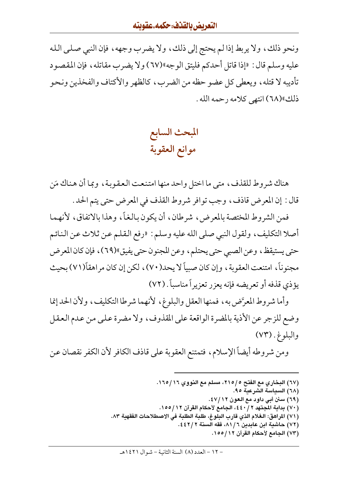#### التعريض بالقذف: حكمه.عقوبته

ونحو ذلك، ولا يربط إذا لم يحتج إلى ذلك، ولا يضرب وجهه، فإن النبي صلى الله عليه وسلم قال : «إذا قاتل أحدكم فليتق الوجه»(٦٧) ولا يضرب مقاتله ، فإن المقصود تأديبه لا قتله ، ويعطي كل عضو حظه من الضرب ، كالظهر والأكتاف والفخذين ونحو ذلك»(٦٨) انتهى كلامه رحمه الله .

> المبحث السابع موانع العقوبة

هناك شروط للقذف، متى ما اختل واحد منها امتنعت العقوبة، وبما أن هناك مَن قال : إن المعرض قاذف، وجب توافر شروط القذف في المعرض حتى يتم الحد .

فمن الشروط المختصة بالمعرض، شرطان، أن يكون بالغاً، وهذا بالاتفاق، لأنهما أصلا التكليف، ولقول النبي صلى الله عليه وسلم : «رفع القلم عن ثلاث عن النائم حتى يستيقظ، وعن الصبي حتى يحتلم، وعن المجنون حتى يفيق»(٦٩)، فإن كان المعرض مجنوناً، امتنعت العقوبة ، وإن كان صبياً لا يحد(٧٠) ، لكن إن كان مراهقاً(٧١) بحيث يؤذي قذفه أو تعريضه فإنه يعزر تعزيراً مناسباً . (٧٢)

وأما شروط المعرَّض به، فمنها العقل والبلوغ، لأنهما شرطا التكليف، ولأن الحد إنما وضع للزجر عن الأذية بالمضرة الواقعة على المقذوف، ولا مضرة على من عدم العقل والبلوغ. (٧٣)

ومن شروطه أيضاً الإسلام، فتمتنع العقوبة على قاذف الكافر لأن الكفر نقصان عن

- (٦٧) البخاري مع الفتح ٥ /٢١٥، مسلم مع النووي ١٦٥/١٦.
	- (٦٨) السياسة الشرعية ٩٥.
	- (٦٩) سنن أبي داود مع العون ١٢/ ٤٧.
- (٧٠) بداية المجتهد ٢ / ٤٤٠، الجامع لأحكام القرآن ١٢ /١٥٥.
- (٧١) المراهق: الـغلام الذي قارب البلوغ، طلبة الطلبة في الاصطلاحات الفقهية ٨٣.
	- (٧٢) حاشية ابن عابدبن ٨١/٦، فقه السنة ٤٤٢/٢.
		- (٧٣) الجامع لأحكام القرآن ١٢/ ١٥٥.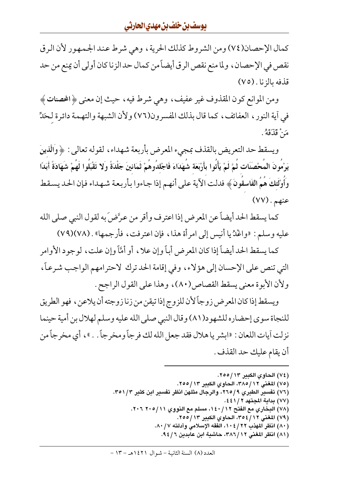كمال الإحصان(٧٤) ومن الشروط كذلك الحرية، وهي شرط عند الجمهور لأن الرق نقص في الإحصان ، ولما منع نقص الرق أيضاً من كمال حد الزنا كان أولى أن يمنع من حد قذفه بالزنا . (٧٥)

ومن الموانع كون المقذوف غير عفيف، وهي شرط فيه، حيث إن معنى ﴿المحصنات ﴾ في آية النور ، العفائف ، كما قال بذلك المفسرون(٧٦) ولأن الشبهة والتهمة دائرة لحَلٍّ مَنْ قَذَقَهُ .

ويسقط حد التعريض بالقذف بمجيء المعرض بأربعة شهداء، لقوله تعالى : ﴿ وَالَّذِينَ يَرْمُونَ المُحْصَنَات ثُمَّ لَمْ يَأْتُوا بأَرْبَعَة شُهَدَاءَ فَاجْلدُوهُمْ ثَمَانينَ جَلْدَةً وَلا تَقْبَلُوا لَهُمْ شَهَادَةً أَبَدًا وَأُوْلَئِكَ هُمُ الفَاسقَونَ ﴾ فدلت الآية على أنهـم إذا جـاءوا بـأربـعـة شـهـداء فـإن الحـد يسـقط  $(VV)$ . عنهم

كما يسقط الحد أيضاً عن المعرض إذا اعترف وأقر من عرَّضَ به لقول النبي صلى الله عليه وسلم : «واغْدُيا أنيس إلى امرأة هذا، فإن اعترفت، فأرجمها» . (٧٨)(٧٩)

كما يسقط الحد أيضاً إذا كان المعرض أباً وإن علا ، أو أمَّأ وإن علت ، لوجود الأوامر التي تنص على الإحسان إلى هؤلاء، وفي إقامة الحد ترك لاحترامهم الواجب شرعاً، ولأن الأبوة معنى يسقط القصاص(٨٠)، وهذا على القول الراجح .

ويسقط إذا كان المعرض زوجاً لأن للزوج إذا تيقن من زنا زوجته أن يلاعن ، فهو الطريق للنجاة سوى إحضاره للشهود(٨١) وقال النبي صلى الله عليه وسلم لهلال بن أمية حينما نزلت آيات اللعان : «ابشر يا هلال فقد جعل الله لك فر جاً ومخر جاً . . » ، أي مخر جاً من أن يقام عليك حد القذف .

- (٧٦) تفسير الطبري ٩/ ٢٦٥، والرجال مثلهن انظر تفسير ابن كثير ٣٥١/٣.
	- (٧٧) بداية المجتهد ٢ / ٤٤١.
	- (٧٨) البخاري مع الفتح ١٤٠/١٢، مسلم مع النووي ٢٠١٥/١١ ٢٠٦.
		- (٧٩) المغنى ٢٥٤/١٢، الحاوي الكبير ٢٥٥/١٣.
		- (٨٠) انظر المهذب ٢٢ / ١٠٤، الفقه الإسلامي وأدلته ٨٠ / ٨٠.
			- (٨١) انظر المغنى ٢٨٦/١٢، حاشية ابن عابدين ٩٤/٦.

<sup>(</sup>٧٤) الحاوي الكبير ٢٥٥/١٣.

<sup>(</sup>٧٥) المغنى ٢٨٥/١٢، الحاوي الكبير ٢٥٥/١٣.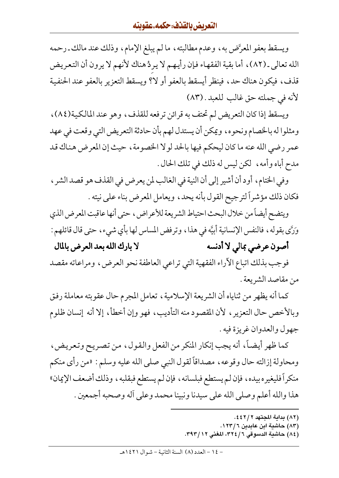ويسقط بعفو المعرَّض به، وعدم مطالبته، ما لم يبلغ الإمام، وذلك عند مالك ـ رحمه الله تعالى ـ (٨٢)، أما بقية الفقهاء فإن رأيهم لا يردُ هناك لأنهم لا يرون أن التعريض قذف، فيكون هناك حد، فينظر أيسقط بالعفو أو لا؟ ويسقط التعزير بالعفو عند الحنفية لأنه في جملته حق غالب للعبد . (٨٣)

ويسقط إذا كان التعريض لم تحتف به قرائن ترفعه للقذف، وهو عند المالكية(٨٤)، ومثلواله بالخصام ونحوه، ويمكن أن يستدل لهم بأن حادثة التعريض التي وقعت في عهد عمر رضي الله عنه ما كان ليحكم فيها بالحد لولا الخصومة ، حيث إن المعرض هناك قد مدح أباه وأمه، لكن ليس له ذلك في تلك الحال .

وفي الختام، أود أن أشير إلى أن النية في الغالب لمن يعرض في القذف هو قصد الشر ، فكان ذلك مؤشراً لترجيح القول بأنه يحد، ويعامل المعرض بناء على نيته .

ويتضح أيضاً من خلال البحث احتياط الشريعة للأعراض، حتى أنها عاقبت المعرض الذي وَرَّى بِقوله ، فالنفس الإنسانية أبيَّه في هذا ، وترفض المساس لها بأي شيء ، حتى قال قائلهم :

لا بارك الله بعد العرض بالمال أصون عرضي بمالي لا أدنسه فوجب بذلك اتباع الأراء الفقهية التي تراعي العاطفة نحو العرض، ومراعاته مقصد من مقاصد الشريعة .

كما أنه يظهر من ثناياه أن الشريعة الإسلامية، تعامل المجرم حال عقوبته معاملة رفق وبالأخص حال التعزير ، لأن المقصود منه التأديب ، فهو وإن أخطأ ، إلا أنه إنسان ظلوم جهو ل والعدوان غريز ة فيه .

كما ظهر أيضاً، أنه يجب إنكار المنكر من الفعل والقول، من تصريح وتعريض، ومحاولة إزالته حال وقوعه ، مصداقاً لقول النبي صلى الله عليه وسلم : «من رأى منكم منكراً فليغيره بيده، فإن لم يستطع فبلسانه ، فإن لم يستطع فبقلبه ، وذلك أضعف الإيمان» هذا والله أعلم وصلى الله على سيدنا ونبينا محمد وعلى أله وصحبه أجمعين .

- (٨٢) بداية المجتهد ٤٤٢/٢.
- (۸۳) حاشية ابن عابدين ١٢٣/٦. (٨٤) حاشية الدسوقي ٣٢٤/٦، المغنى ٣٩٣/١٢.
-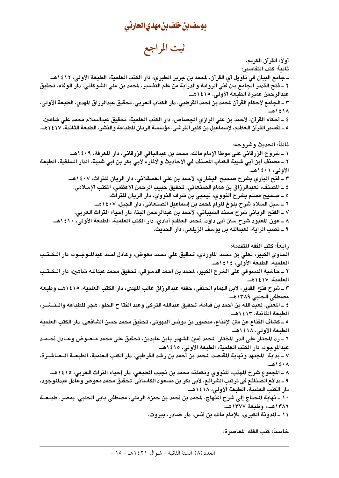ثبت المراجع

أو لاً: القرآن الكريم. ثانياً: كتب التفاسير: ــ جامع البيان في تأويل آي القرآن، لمحمد بن جرير الطبري، دار الكتب العلمية، الطبعة الأولى، ١٤١٢هــ. ٢ \_ فتح القدير الجامع بين فني الرواية والدراية من علم التفسير، لمحمد بن على الشوكاني، دار الوفاء، تحقيق عبدالرحمن عميرة الطبعة الأولى، ١٤١٥هـ. ٣ ـ الجامع لأحكام القرآن لمحمد بن أحمد القرطبي، دار الكتاب العربي، تحقيق عبدالرزاق المهدي، الطبعة الأولى، ۱۱٤۱۸هـ ٤ ـ أحكام القرآن، لأحمد بن على الرازي الجصاص، دار الكتب العلمية، تحقيق عبدالسلام محمد على شاهين. ه ـ تفسير القرآن العظيم، لإسماعيل بن كثير القرشي، مؤسسة الريان للطباعة والنشر، الطبعة الثانية، ١٤١٧هــ. ثالثاً: الحديث وشروحه: ١ \_ شروح الزرقاني على موطأ الإمام مالك، محمد بن عبدالباقي الزرقاني، دار المعرفة، ١٤٠٩هــ. ٢ ــ مصنف ابن أبي شيبة الكتاب المصنف في الأحاديث والآثار» لأبي بكر بن أبي شيبة، الدار السلفية، الطبعة الأولى، ١٤٠١هـ. ٣ ــ فتح الباري بشرح صحيح البخاري، لأحمد بن على العسقلاني، دار الريان للتراث، ١٤٠٧هــ. ٤ ـ المصنف، لعبدالرزاق بن همام الصنعاني، تحقيق حبيب الرحمن الأعظمي، المكتب الإسلامي. ه ــ صحيح مسلم بشرح النووي، ليحيى بن شرف النووي، دار الريان للتراث. ٦ ــ سبل السلام شرح بلوغ المرام لمحمد بن إسماعيل الصنعاني، دار الجيل، ١٤٠٧هــ. ٧ ـ الفتح الرباني شرح مسند الشيباني، لأحمد بن عبدالرحمن البنا، دار إحياء التراث العربي. ٨ ــ عون المعبود شرح سنن أبي داود، لمحمد العظيم آبادي، دار الكتب العلمية، الطبعة الأولى، ١٤١٠هــ. ٩ ــ نصب الراية، لعبدالله بن يوسف الزيلعي، دار الحديث. رابعاً: كتب الفقه المتقدمة: الحاوي الكبير، لعلى بن محمد الماوردي، تحقيق على محمد معوض، وعادل أحمد عبدالموجــود، دار الــكــتـب العلمية، الطبعة الأولى، ١٤١٤هـ. ٢ ــ حاشية الدسوقى على الشرح الكبير، لمحمد بن أحمد الدسوقى، تحقيق محمد عبدالله شاهين، دار الــكـتـب العلمية، ١٤١٧هــ ٣ ــ شرح فتح القدير، لابن الهمام الحنفي، حققه عبدالرزاق غالب المهدي، دار الكتب العلمية، ١٤١٥هــ، وطبعة مصطفى الحلبي ١٣٨٩هـ. ٤ ــ المغني، لـعبد الله بن أحمد بن قدامة، تحقيق عبدالله التركي وعبد الفتا ح الحلو، هجر للطباعة والــنــشــر، الطبعة الثانية، ١٤١٣هـ. ه ــ كشاف القناع عن متن الإقناع، منصور بن يونس البهوتي، تحقيق محمد حسن الشافعي، دار الكتب العلمية الطبعة الأولى، ١٤١٨هـ. ٦ ــ رد المحتار على الدر المختار، لمحمد أمين الشهير بابن عابدين، تحقيق على محمد مــعــوض وعــادل أحــمـد عبدالموجود، دار الكتب العلمية، الطبعة الأولى، ١٤١٥هـ. ٧ ــ بداية المجتهد ونهاية المقتصد، لمحمد بن أحمد بن رشد القرطبي، دار الكتب العلمية، الطبعــة الــعــاشــرة، ۰۸ ۱٤۰۸هـ ٨ ــ المجموع شرح المهذب، للنووي وتكملته محمد بن نجيب المطيعى، دار إحياء التراث العربي، ١٤١٥هــ. ٩ ــ بدائع الصنائع في ترتيب الشرائع، لأبي بكر بن مسعود الكاساني، تحقيق محمد معوض وعادل عبدالموجود، دار الكتب العلمية، الطبعة الأولى، ١٤١٨هـ.. ١٠ ــ نهاية المحتاج إلى شرح المنهاج، لمحمد بن أحمد بن حمزة الرملي، مصطفى بابي الحلبي، بمصر، طبــعــة ١٣٨٦هـ..، وطبعة ١٣٧٧هـ. ١١ ــ المدونة الكبرى، للإمام مالك بن أنس، دار صادر، بيروت.

خامساً: كتب الفقه المعاصرة: